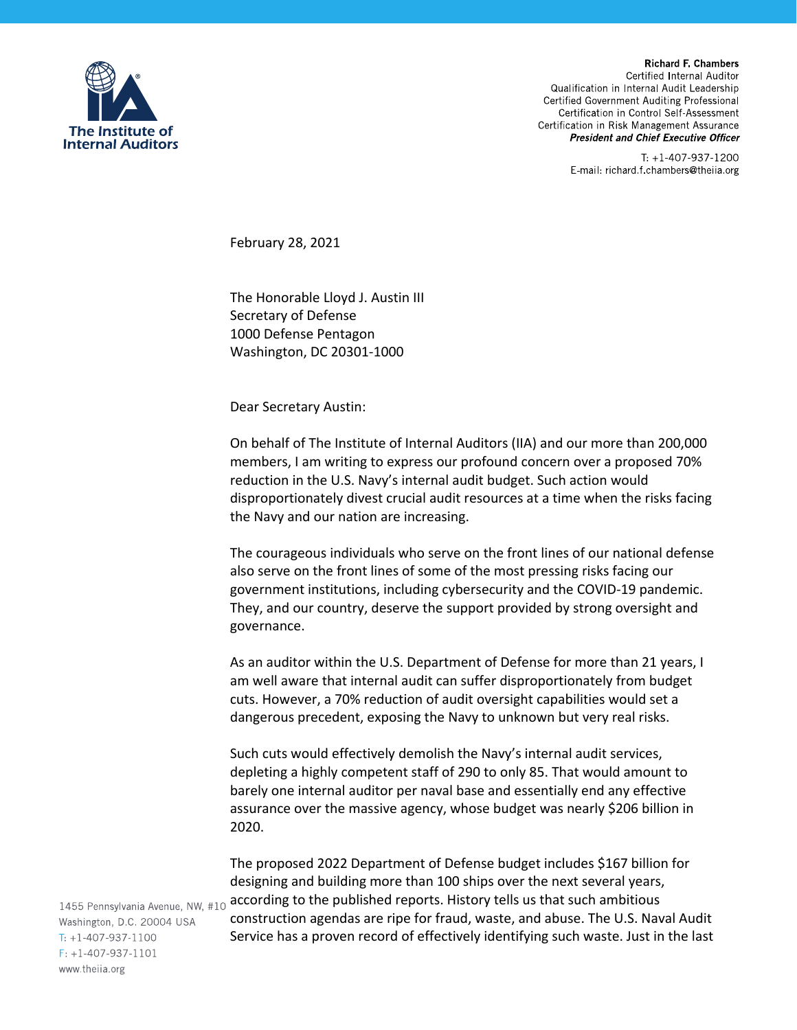

**Richard F. Chambers** Certified Internal Auditor Qualification in Internal Audit Leadership Certified Government Auditing Professional Certification in Control Self-Assessment Certification in Risk Management Assurance **President and Chief Executive Officer** 

> T: +1-407-937-1200 E-mail: richard f chambers@theiia.org

February 28, 2021

The Honorable Lloyd J. Austin III Secretary of Defense 1000 Defense Pentagon Washington, DC 20301‐1000

Dear Secretary Austin:

On behalf of The Institute of Internal Auditors (IIA) and our more than 200,000 members, I am writing to express our profound concern over a proposed 70% reduction in the U.S. Navy's internal audit budget. Such action would disproportionately divest crucial audit resources at a time when the risks facing the Navy and our nation are increasing.

The courageous individuals who serve on the front lines of our national defense also serve on the front lines of some of the most pressing risks facing our government institutions, including cybersecurity and the COVID‐19 pandemic. They, and our country, deserve the support provided by strong oversight and governance.

As an auditor within the U.S. Department of Defense for more than 21 years, I am well aware that internal audit can suffer disproportionately from budget cuts. However, a 70% reduction of audit oversight capabilities would set a dangerous precedent, exposing the Navy to unknown but very real risks.

Such cuts would effectively demolish the Navy's internal audit services, depleting a highly competent staff of 290 to only 85. That would amount to barely one internal auditor per naval base and essentially end any effective assurance over the massive agency, whose budget was nearly \$206 billion in 2020.

The proposed 2022 Department of Defense budget includes \$167 billion for designing and building more than 100 ships over the next several years, according to the published reports. History tells us that such ambitious construction agendas are ripe for fraud, waste, and abuse. The U.S. Naval Audit Service has a proven record of effectively identifying such waste. Just in the last

1455 Pennsylvania Avenue, NW, #10 Washington, D.C. 20004 USA  $T: +1-407-937-1100$  $F: +1-407-937-1101$ www.theija.org